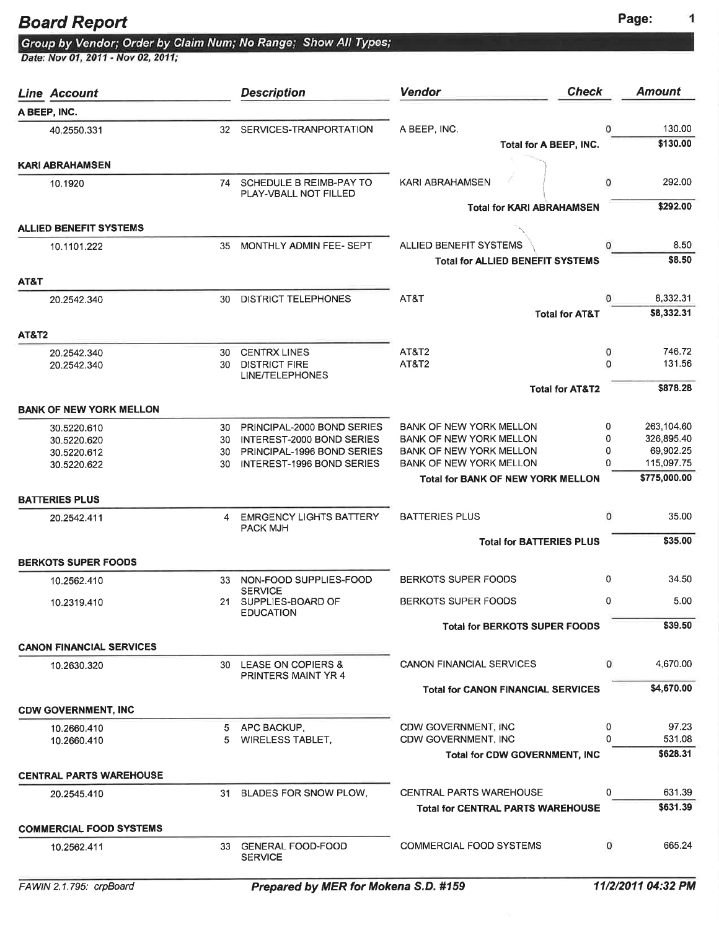## Board Report **Page:** Page:

|                                    | Group by Vendor; Order by Claim Num; No Range; Show All Types; |
|------------------------------------|----------------------------------------------------------------|
| Date: Nov 01, 2011 - Nov 02, 2011; |                                                                |

|                  | <b>Line Account</b>             |          | <b>Description</b>                                      | <b>Check</b><br><b>Vendor</b>                                              |              | <b>Amount</b>            |
|------------------|---------------------------------|----------|---------------------------------------------------------|----------------------------------------------------------------------------|--------------|--------------------------|
|                  | A BEEP, INC.                    |          |                                                         |                                                                            |              |                          |
|                  | 40.2550.331                     | 32       | SERVICES-TRANPORTATION                                  | A BEEP, INC.                                                               | 0            | 130.00                   |
|                  |                                 |          |                                                         | Total for A BEEP, INC.                                                     |              | \$130.00                 |
|                  | <b>KARI ABRAHAMSEN</b>          |          |                                                         |                                                                            |              |                          |
|                  | 10.1920                         | 74       | SCHEDULE B REIMB-PAY TO<br>PLAY-VBALL NOT FILLED        | <b>KARI ABRAHAMSEN</b>                                                     | 0            | 292.00                   |
|                  |                                 |          |                                                         | <b>Total for KARI ABRAHAMSEN</b>                                           |              | \$292.00                 |
|                  | <b>ALLIED BENEFIT SYSTEMS</b>   |          |                                                         |                                                                            |              |                          |
|                  | 10.1101.222                     | 35       | MONTHLY ADMIN FEE- SEPT                                 | ALLIED BENEFIT SYSTEMS                                                     | 0            | 8.50                     |
|                  |                                 |          |                                                         | <b>Total for ALLIED BENEFIT SYSTEMS</b>                                    |              | \$8.50                   |
| AT&T             |                                 |          |                                                         | AT&T                                                                       | $\Omega$     | 8,332.31                 |
|                  | 20.2542.340                     | 30       | <b>DISTRICT TELEPHONES</b>                              | <b>Total for AT&amp;T</b>                                                  |              | \$8,332.31               |
|                  |                                 |          |                                                         |                                                                            |              |                          |
| <b>AT&amp;T2</b> |                                 | 30       | <b>CENTRX LINES</b>                                     | AT&T2                                                                      | 0            | 746.72                   |
|                  | 20.2542.340<br>20.2542.340      | 30       | <b>DISTRICT FIRE</b>                                    | AT&T2                                                                      | $\mathbf 0$  | 131.56                   |
|                  |                                 |          | <b>LINE/TELEPHONES</b>                                  |                                                                            |              | \$878.28                 |
|                  |                                 |          |                                                         | <b>Total for AT&amp;T2</b>                                                 |              |                          |
|                  | <b>BANK OF NEW YORK MELLON</b>  |          |                                                         |                                                                            |              |                          |
|                  | 30.5220.610<br>30.5220.620      | 30<br>30 | PRINCIPAL-2000 BOND SERIES<br>INTEREST-2000 BOND SERIES | <b>BANK OF NEW YORK MELLON</b><br><b>BANK OF NEW YORK MELLON</b>           | 0<br>0       | 263,104.60<br>326,895.40 |
|                  | 30.5220.612                     | 30       | PRINCIPAL-1996 BOND SERIES                              | <b>BANK OF NEW YORK MELLON</b>                                             | 0            | 69,902.25                |
|                  | 30.5220.622                     | 30       | INTEREST-1996 BOND SERIES                               | BANK OF NEW YORK MELLON                                                    | Ω            | 115,097.75               |
|                  |                                 |          |                                                         | <b>Total for BANK OF NEW YORK MELLON</b>                                   |              | \$775,000.00             |
|                  | <b>BATTERIES PLUS</b>           |          |                                                         |                                                                            |              |                          |
|                  | 20.2542.411                     | 4        | <b>EMRGENCY LIGHTS BATTERY</b><br><b>PACK MJH</b>       | <b>BATTERIES PLUS</b>                                                      | $\mathbf{0}$ | 35.00                    |
|                  |                                 |          |                                                         | <b>Total for BATTERIES PLUS</b>                                            |              | \$35.00                  |
|                  | <b>BERKOTS SUPER FOODS</b>      |          |                                                         |                                                                            |              |                          |
|                  | 10.2562.410                     |          | 33 NON-FOOD SUPPLIES-FOOD<br><b>SERVICE</b>             | <b>BERKOTS SUPER FOODS</b>                                                 | 0            | 34.50                    |
|                  | 10.2319.410                     | 21.      | SUPPLIES-BOARD OF<br><b>EDUCATION</b>                   | <b>BERKOTS SUPER FOODS</b>                                                 | 0            | 5.00                     |
|                  |                                 |          |                                                         | <b>Total for BERKOTS SUPER FOODS</b>                                       |              | \$39.50                  |
|                  | <b>CANON FINANCIAL SERVICES</b> |          |                                                         |                                                                            |              |                          |
|                  | 10.2630.320                     |          | 30 LEASE ON COPIERS &<br>PRINTERS MAINT YR 4            | <b>CANON FINANCIAL SERVICES</b>                                            | $\mathbf{0}$ | 4,670.00                 |
|                  |                                 |          |                                                         | <b>Total for CANON FINANCIAL SERVICES</b>                                  |              | \$4,670.00               |
|                  | <b>CDW GOVERNMENT, INC</b>      |          |                                                         |                                                                            |              |                          |
|                  | 10.2660.410                     | 5        | APC BACKUP,                                             | CDW GOVERNMENT, INC                                                        | 0            | 97.23                    |
|                  | 10.2660.410                     | 5        | <b>WIRELESS TABLET,</b>                                 | <b>CDW GOVERNMENT, INC</b>                                                 | 0            | 531.08                   |
|                  |                                 |          |                                                         | <b>Total for CDW GOVERNMENT, INC</b>                                       |              | \$628.31                 |
|                  | <b>CENTRAL PARTS WAREHOUSE</b>  |          |                                                         |                                                                            |              |                          |
|                  | 20.2545.410                     | 31       | BLADES FOR SNOW PLOW,                                   | <b>CENTRAL PARTS WAREHOUSE</b><br><b>Total for CENTRAL PARTS WAREHOUSE</b> | 0            | 631.39<br>\$631.39       |
|                  |                                 |          |                                                         |                                                                            |              |                          |
|                  | <b>COMMERCIAL FOOD SYSTEMS</b>  |          |                                                         |                                                                            | 0            | 665.24                   |
|                  | 10.2562.411                     |          | 33 GENERAL FOOD-FOOD<br><b>SERVICE</b>                  | <b>COMMERCIAL FOOD SYSTEMS</b>                                             |              |                          |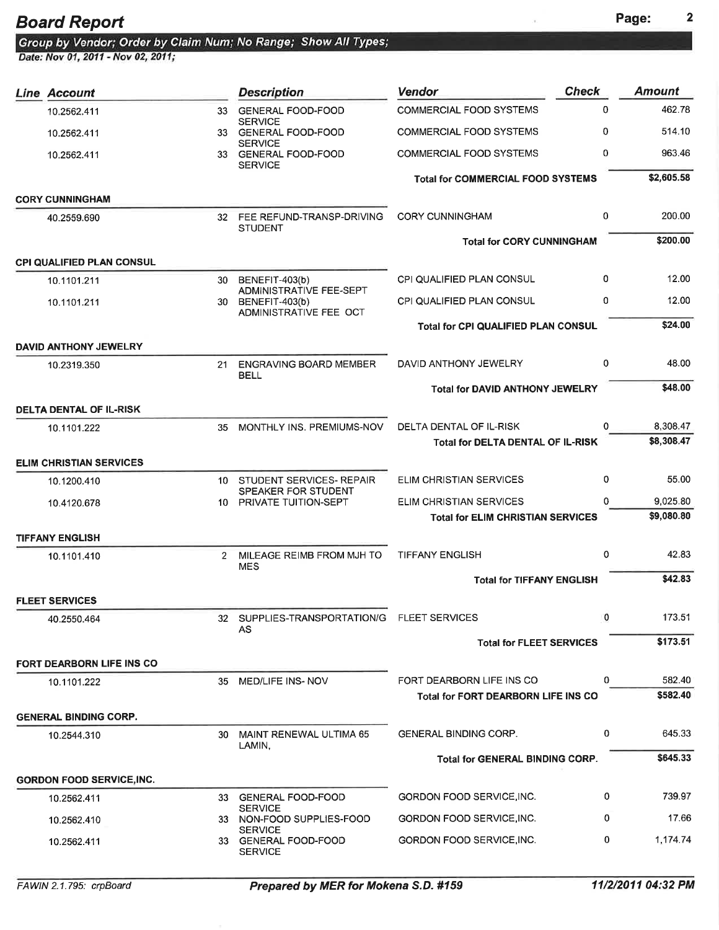Group by Vendor; Order by Claim Num; No Range; Show All Types;<br>Date: Nov 01, 2011 - Nov 02, 2011;

| <b>Line Account</b>              |                | <b>Description</b>                                       | <b>Vendor</b>                              | <b>Check</b> | <b>Amount</b> |
|----------------------------------|----------------|----------------------------------------------------------|--------------------------------------------|--------------|---------------|
| 10.2562.411                      | 33             | <b>GENERAL FOOD-FOOD</b>                                 | <b>COMMERCIAL FOOD SYSTEMS</b>             | 0            | 462.78        |
| 10.2562.411                      | 33.            | <b>SERVICE</b><br><b>GENERAL FOOD-FOOD</b>               | <b>COMMERCIAL FOOD SYSTEMS</b>             | 0            | 514.10        |
| 10.2562.411                      |                | <b>SERVICE</b><br>33 GENERAL FOOD-FOOD<br><b>SERVICE</b> | <b>COMMERCIAL FOOD SYSTEMS</b>             | 0            | 963.46        |
|                                  |                |                                                          | <b>Total for COMMERCIAL FOOD SYSTEMS</b>   |              | \$2,605.58    |
| <b>CORY CUNNINGHAM</b>           |                |                                                          |                                            |              |               |
| 40.2559.690                      |                | 32 FEE REFUND-TRANSP-DRIVING<br><b>STUDENT</b>           | <b>CORY CUNNINGHAM</b>                     | $\mathbf{0}$ | 200.00        |
|                                  |                |                                                          | <b>Total for CORY CUNNINGHAM</b>           |              | \$200.00      |
| <b>CPI QUALIFIED PLAN CONSUL</b> |                |                                                          |                                            |              |               |
| 10.1101.211                      | 30             | BENEFIT-403(b)<br><b>ADMINISTRATIVE FEE-SEPT</b>         | <b>CPI QUALIFIED PLAN CONSUL</b>           | 0            | 12.00         |
| 10.1101.211                      | 30.            | BENEFIT-403(b)<br>ADMINISTRATIVE FEE OCT                 | <b>CPI QUALIFIED PLAN CONSUL</b>           | 0            | 12.00         |
|                                  |                |                                                          | <b>Total for CPI QUALIFIED PLAN CONSUL</b> |              | \$24.00       |
| <b>DAVID ANTHONY JEWELRY</b>     |                |                                                          |                                            |              |               |
| 10.2319.350                      | 21             | <b>ENGRAVING BOARD MEMBER</b><br><b>BELL</b>             | DAVID ANTHONY JEWELRY                      | 0            | 48.00         |
|                                  |                |                                                          | <b>Total for DAVID ANTHONY JEWELRY</b>     |              | \$48.00       |
| <b>DELTA DENTAL OF IL-RISK</b>   |                |                                                          |                                            |              |               |
| 10.1101.222                      | 35             | MONTHLY INS. PREMIUMS-NOV                                | DELTA DENTAL OF IL-RISK                    | $\Omega$     | 8,308.47      |
|                                  |                |                                                          | <b>Total for DELTA DENTAL OF IL-RISK</b>   |              | \$8,308.47    |
| <b>ELIM CHRISTIAN SERVICES</b>   |                |                                                          |                                            |              |               |
| 10.1200.410                      | 10             | STUDENT SERVICES- REPAIR<br>SPEAKER FOR STUDENT          | ELIM CHRISTIAN SERVICES                    | 0            | 55.00         |
| 10.4120.678                      |                | 10 PRIVATE TUITION-SEPT                                  | ELIM CHRISTIAN SERVICES                    | 0            | 9,025.80      |
|                                  |                |                                                          | <b>Total for ELIM CHRISTIAN SERVICES</b>   |              | \$9,080.80    |
| <b>TIFFANY ENGLISH</b>           |                |                                                          |                                            |              |               |
| 10.1101.410                      | $\overline{2}$ | MILEAGE REIMB FROM MJH TO<br><b>MES</b>                  | <b>TIFFANY ENGLISH</b>                     | 0            | 42.83         |
|                                  |                |                                                          | <b>Total for TIFFANY ENGLISH</b>           |              | \$42.83       |
| <b>FLEET SERVICES</b>            |                |                                                          |                                            |              |               |
| 40.2550.464                      |                | 32 SUPPLIES-TRANSPORTATION/G FLEET SERVICES<br>AS        |                                            | 0            | 173.51        |
|                                  |                |                                                          | <b>Total for FLEET SERVICES</b>            |              | \$173.51      |
| <b>FORT DEARBORN LIFE INS CO</b> |                |                                                          |                                            |              |               |
| 10.1101.222                      |                | 35 MED/LIFE INS-NOV                                      | FORT DEARBORN LIFE INS CO                  | 0            | 582.40        |
|                                  |                |                                                          | <b>Total for FORT DEARBORN LIFE INS CO</b> |              | \$582.40      |
| <b>GENERAL BINDING CORP.</b>     |                |                                                          |                                            |              |               |
| 10.2544.310                      | 30             | MAINT RENEWAL ULTIMA 65<br>LAMIN.                        | <b>GENERAL BINDING CORP.</b>               | 0            | 645.33        |
|                                  |                |                                                          | <b>Total for GENERAL BINDING CORP.</b>     |              | \$645.33      |
| <b>GORDON FOOD SERVICE, INC.</b> |                |                                                          |                                            |              |               |
| 10.2562.411                      | 33             | <b>GENERAL FOOD-FOOD</b><br><b>SERVICE</b>               | GORDON FOOD SERVICE, INC.                  | 0            | 739.97        |
| 10.2562.410                      |                | 33 NON-FOOD SUPPLIES-FOOD                                | GORDON FOOD SERVICE, INC.                  | 0            | 17.66         |
| 10.2562.411                      |                | <b>SERVICE</b><br>33 GENERAL FOOD-FOOD<br><b>SERVICE</b> | GORDON FOOD SERVICE, INC.                  | 0            | 1,174.74      |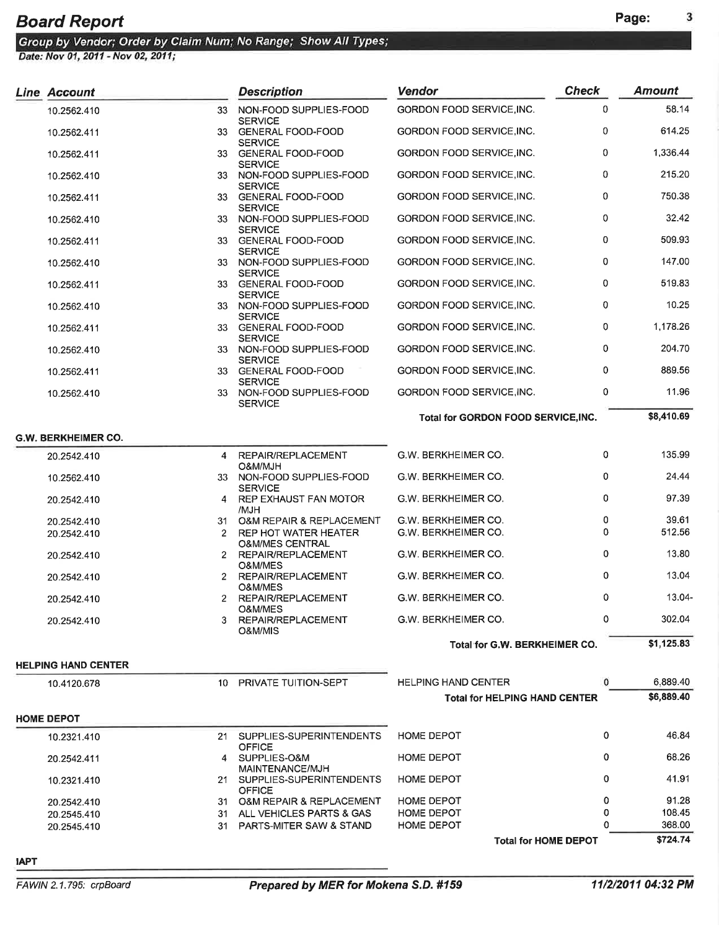| Line Account               |                      | <b>Description</b>                                            | <b>Vendor</b>                                    | <b>Check</b> | <b>Amount</b>      |
|----------------------------|----------------------|---------------------------------------------------------------|--------------------------------------------------|--------------|--------------------|
| 10.2562.410                | 33                   | NON-FOOD SUPPLIES-FOOD                                        | GORDON FOOD SERVICE, INC.                        | 0            | 58.14              |
| 10.2562.411                | 33                   | <b>SERVICE</b><br><b>GENERAL FOOD-FOOD</b><br><b>SERVICE</b>  | GORDON FOOD SERVICE, INC.                        | 0            | 614.25             |
| 10.2562.411                | 33 -                 | <b>GENERAL FOOD-FOOD</b>                                      | GORDON FOOD SERVICE, INC.                        | 0            | 1,336.44           |
| 10.2562.410                |                      | <b>SERVICE</b><br>33 NON-FOOD SUPPLIES-FOOD<br><b>SERVICE</b> | GORDON FOOD SERVICE, INC.                        | 0            | 215.20             |
| 10.2562.411                |                      | 33 GENERAL FOOD-FOOD<br><b>SERVICE</b>                        | GORDON FOOD SERVICE, INC.                        | 0            | 750.38             |
| 10.2562.410                | 33 -                 | NON-FOOD SUPPLIES-FOOD<br><b>SERVICE</b>                      | GORDON FOOD SERVICE,INC.                         | 0            | 32.42              |
| 10.2562.411                |                      | 33 GENERAL FOOD-FOOD<br><b>SERVICE</b>                        | GORDON FOOD SERVICE, INC.                        | 0            | 509.93             |
| 10.2562.410                |                      | 33 NON-FOOD SUPPLIES-FOOD<br><b>SERVICE</b>                   | GORDON FOOD SERVICE, INC.                        | 0            | 147.00             |
| 10.2562.411                |                      | 33 GENERAL FOOD-FOOD<br><b>SERVICE</b>                        | GORDON FOOD SERVICE,INC.                         | 0            | 519.83             |
| 10.2562.410                |                      | 33 NON-FOOD SUPPLIES-FOOD<br><b>SERVICE</b>                   | GORDON FOOD SERVICE, INC.                        | 0            | 10.25              |
| 10.2562.411                |                      | 33 GENERAL FOOD-FOOD                                          | GORDON FOOD SERVICE, INC.                        | 0            | 1,178.26           |
| 10.2562.410                |                      | <b>SERVICE</b><br>33 NON-FOOD SUPPLIES-FOOD<br><b>SERVICE</b> | GORDON FOOD SERVICE, INC.                        | 0            | 204.70             |
| 10.2562.411                |                      | 33 GENERAL FOOD-FOOD<br><b>SERVICE</b>                        | GORDON FOOD SERVICE, INC.                        | 0            | 889.56             |
| 10.2562.410                |                      | 33 NON-FOOD SUPPLIES-FOOD<br><b>SERVICE</b>                   | GORDON FOOD SERVICE, INC.                        | 0            | 11.96              |
|                            |                      |                                                               | <b>Total for GORDON FOOD SERVICE, INC.</b>       |              | \$8,410.69         |
| <b>G.W. BERKHEIMER CO.</b> |                      |                                                               |                                                  |              |                    |
| 20.2542.410                |                      | 4 REPAIR/REPLACEMENT<br>O&M/MJH                               | G.W. BERKHEIMER CO.                              | 0            | 135.99             |
| 10.2562.410                |                      | 33 NON-FOOD SUPPLIES-FOOD<br><b>SERVICE</b>                   | G.W. BERKHEIMER CO.                              | 0            | 24.44              |
| 20.2542.410                | 4                    | REP EXHAUST FAN MOTOR<br>/MJH                                 | G.W. BERKHEIMER CO.                              | 0            | 97.39              |
| 20.2542.410                |                      | 31 O&M REPAIR & REPLACEMENT                                   | G.W. BERKHEIMER CO.                              | 0            | 39.61              |
| 20.2542.410                | $\mathbf{2}^{\circ}$ | REP HOT WATER HEATER<br><b>O&amp;M/MES CENTRAL</b>            | G.W. BERKHEIMER CO.                              | 0            | 512.56             |
| 20.2542.410                | $2^{\circ}$          | REPAIR/REPLACEMENT<br>O&M/MES                                 | G.W. BERKHEIMER CO.                              | 0            | 13.80              |
| 20.2542.410                | $2^{\circ}$          | REPAIR/REPLACEMENT<br>O&M/MES                                 | G.W. BERKHEIMER CO.                              | 0            | 13.04              |
| 20.2542.410                | 2                    | REPAIR/REPLACEMENT<br>O&M/MES                                 | G.W. BERKHEIMER CO.                              | 0            | 13.04-             |
| 20.2542.410                |                      | REPAIR/REPLACEMENT<br>O&M/MIS                                 | G.W. BERKHEIMER CO.                              | 0            | 302.04             |
|                            |                      |                                                               | Total for G.W. BERKHEIMER CO.                    |              | \$1,125.83         |
| <b>HELPING HAND CENTER</b> |                      |                                                               |                                                  |              |                    |
| 10.4120.678                |                      | 10 PRIVATE TUITION-SEPT                                       | <b>HELPING HAND CENTER</b>                       | 0            | 6,889.40           |
|                            |                      |                                                               | <b>Total for HELPING HAND CENTER</b>             |              | \$6,889.40         |
| <b>HOME DEPOT</b>          |                      |                                                               |                                                  |              |                    |
| 10.2321.410                |                      | 21 SUPPLIES-SUPERINTENDENTS<br><b>OFFICE</b>                  | <b>HOME DEPOT</b>                                | 0            | 46.84              |
| 20.2542.411                |                      | 4 SUPPLIES-O&M<br>MAINTENANCE/MJH                             | <b>HOME DEPOT</b>                                | 0            | 68.26              |
| 10.2321.410                |                      | 21 SUPPLIES-SUPERINTENDENTS<br><b>OFFICE</b>                  | HOME DEPOT                                       | 0            | 41.91              |
| 20.2542.410                |                      | 31 O&M REPAIR & REPLACEMENT                                   | <b>HOME DEPOT</b>                                | 0            | 91.28              |
| 20.2545.410                |                      | 31 ALL VEHICLES PARTS & GAS                                   | HOME DEPOT                                       | 0            | 108.45             |
| 20.2545.410                | 31                   | PARTS-MITER SAW & STAND                                       | <b>HOME DEPOT</b><br><b>Total for HOME DEPOT</b> | O            | 368.00<br>\$724.74 |
|                            |                      |                                                               |                                                  |              |                    |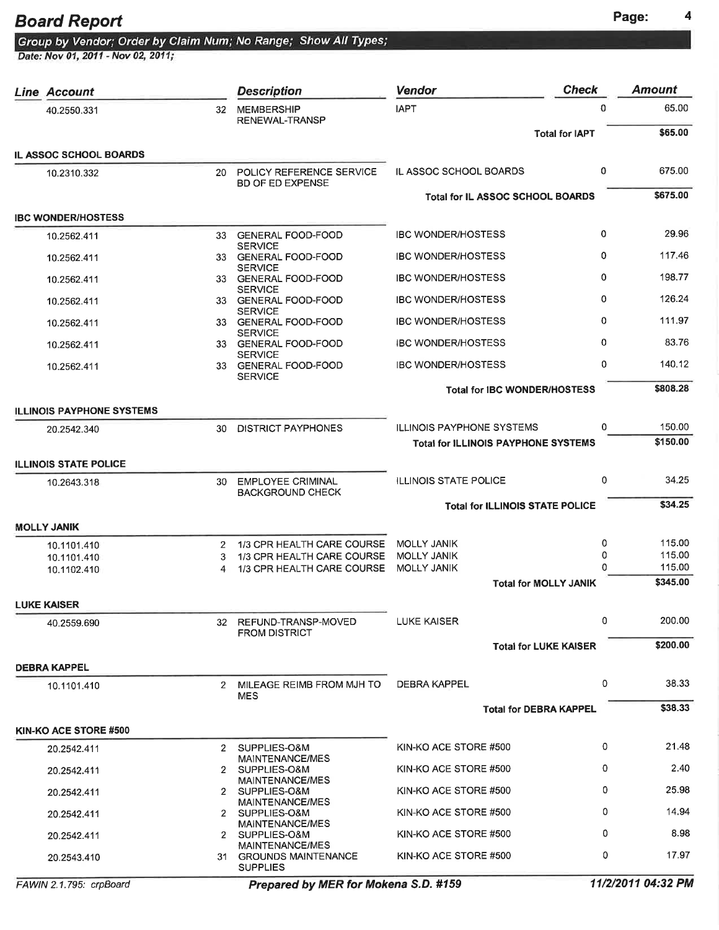0 21.48 0 2.40 0 25.98 o 14.94 0 8.98 0 17.97

| <b>Board Report</b>                                                                                  |             |                                                          |                                            |               | Page:            |
|------------------------------------------------------------------------------------------------------|-------------|----------------------------------------------------------|--------------------------------------------|---------------|------------------|
| Group by Vendor; Order by Claim Num; No Range; Show All Types;<br>Date: Nov 01, 2011 - Nov 02, 2011; |             |                                                          |                                            |               |                  |
|                                                                                                      |             |                                                          |                                            |               |                  |
| <b>Line Account</b>                                                                                  |             | <b>Description</b>                                       | <b>Check</b><br><b>Vendor</b>              |               | <b>Amount</b>    |
| 40.2550.331                                                                                          | 32          | <b>MEMBERSHIP</b><br>RENEWAL-TRANSP                      | <b>IAPT</b>                                | 0             | 65.00            |
|                                                                                                      |             |                                                          | <b>Total for IAPT</b>                      |               | \$65.00          |
| IL ASSOC SCHOOL BOARDS                                                                               |             |                                                          |                                            |               |                  |
| 10.2310.332                                                                                          | 20          | POLICY REFERENCE SERVICE<br><b>BD OF ED EXPENSE</b>      | IL ASSOC SCHOOL BOARDS                     | 0             | 675.00           |
|                                                                                                      |             |                                                          | Total for IL ASSOC SCHOOL BOARDS           |               | \$675.00         |
| <b>IBC WONDER/HOSTESS</b>                                                                            |             | 33 GENERAL FOOD-FOOD                                     | <b>IBC WONDER/HOSTESS</b>                  | 0             | 29.96            |
| 10.2562.411                                                                                          |             | <b>SERVICE</b>                                           |                                            |               |                  |
| 10.2562.411                                                                                          |             | 33 GENERAL FOOD-FOOD<br><b>SERVICE</b>                   | <b>IBC WONDER/HOSTESS</b>                  | 0             | 117.46           |
| 10.2562.411                                                                                          |             | 33 GENERAL FOOD-FOOD<br><b>SERVICE</b>                   | <b>IBC WONDER/HOSTESS</b>                  | 0             | 198.77           |
| 10.2562.411                                                                                          |             | 33 GENERAL FOOD-FOOD<br><b>SERVICE</b>                   | <b>IBC WONDER/HOSTESS</b>                  | 0             | 126.24           |
| 10.2562.411                                                                                          |             | 33 GENERAL FOOD-FOOD                                     | <b>IBC WONDER/HOSTESS</b>                  | 0             | 111.97           |
| 10.2562.411                                                                                          |             | <b>SERVICE</b><br>33 GENERAL FOOD-FOOD                   | <b>IBC WONDER/HOSTESS</b>                  | 0             | 83.76            |
| 10.2562.411                                                                                          |             | <b>SERVICE</b><br>33 GENERAL FOOD-FOOD                   | <b>IBC WONDER/HOSTESS</b>                  | 0             | 140.12           |
|                                                                                                      |             | <b>SERVICE</b>                                           | <b>Total for IBC WONDER/HOSTESS</b>        |               | \$808.28         |
| <b>ILLINOIS PAYPHONE SYSTEMS</b>                                                                     |             |                                                          |                                            |               |                  |
| 20.2542.340                                                                                          | 30          | <b>DISTRICT PAYPHONES</b>                                | ILLINOIS PAYPHONE SYSTEMS                  | 0             | 150.00           |
|                                                                                                      |             |                                                          | <b>Total for ILLINOIS PAYPHONE SYSTEMS</b> |               | \$150.00         |
| <b>ILLINOIS STATE POLICE</b>                                                                         |             |                                                          |                                            |               |                  |
| 10.2643.318                                                                                          | 30          | <b>EMPLOYEE CRIMINAL</b><br><b>BACKGROUND CHECK</b>      | <b>ILLINOIS STATE POLICE</b>               | 0             | 34.25            |
|                                                                                                      |             |                                                          | <b>Total for ILLINOIS STATE POLICE</b>     |               | \$34.25          |
| <b>MOLLY JANIK</b>                                                                                   |             |                                                          |                                            |               |                  |
| 10.1101.410                                                                                          | $2^{\circ}$ | 1/3 CPR HEALTH CARE COURSE                               | <b>MOLLY JANIK</b>                         | 0             | 115.00           |
| 10.1101.410<br>10.1102.410                                                                           | 3<br>4      | 1/3 CPR HEALTH CARE COURSE<br>1/3 CPR HEALTH CARE COURSE | <b>MOLLY JANIK</b><br><b>MOLLY JANIK</b>   | 0<br>$\Omega$ | 115.00<br>115.00 |
|                                                                                                      |             |                                                          | <b>Total for MOLLY JANIK</b>               |               | \$345.00         |
| <b>LUKE KAISER</b>                                                                                   |             |                                                          |                                            |               |                  |
| 40.2559.690                                                                                          |             | 32 REFUND-TRANSP-MOVED<br><b>FROM DISTRICT</b>           | LUKE KAISER                                | 0             | 200.00           |
|                                                                                                      |             |                                                          | <b>Total for LUKE KAISER</b>               |               | \$200.00         |
| <b>DEBRA KAPPEL</b>                                                                                  |             |                                                          |                                            |               |                  |
| 10.1101.410                                                                                          | $2^{\circ}$ | MILEAGE REIMB FROM MJH TO<br><b>MES</b>                  | <b>DEBRA KAPPEL</b>                        | 0             | 38.33            |
|                                                                                                      |             |                                                          | <b>Total for DEBRA KAPPEL</b>              |               | \$38.33          |
| KIN-KO ACE STORE #500                                                                                |             |                                                          |                                            |               |                  |
| 20.2542.411                                                                                          |             | 2 SUPPLIES-O&M<br>MAINTENANCE/MES                        | KIN-KO ACE STORE #500                      | 0             | 21.48            |
| 20.2542.411                                                                                          |             | 2 SUPPLIES-O&M                                           | KIN-KO ACE STORE #500                      | 0             | 2.40             |
| 20.2542.411                                                                                          |             | MAINTENANCE/MES<br>2 SUPPLIES-O&M                        | KIN-KO ACE STORE #500                      | 0             | 25.98            |

20.2542.411 20.2542.411 20.2543.410

31 GROUNDS MAINTENANCE KIN.KO ACE STORE #5OO

MAINTENANCE/MES 2 SUPPLIES-O&M MAINTENANCE/MES 2 SUPPLIES-O&M MAINTENANCE/MES

SUPPLIES

KIN-KO ACE STORE #5OO KIN-KO ACE STORE #5OO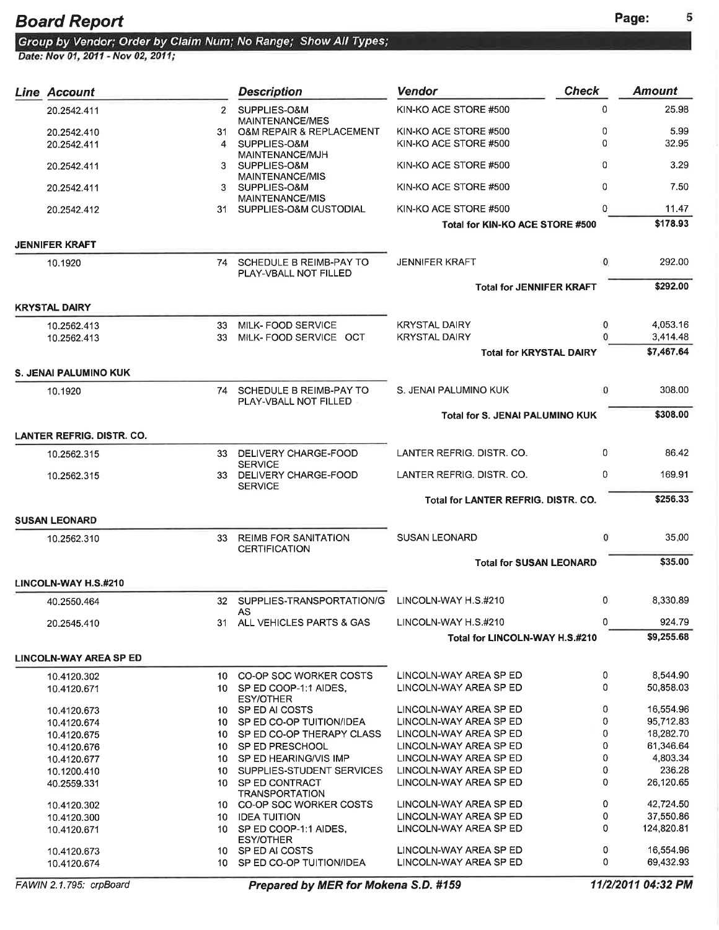| Line Account                |             | <b>Description</b>                                  | <b>Vendor</b>                                    | <b>Check</b> | <b>Amount</b> |
|-----------------------------|-------------|-----------------------------------------------------|--------------------------------------------------|--------------|---------------|
| 20.2542.411                 | $2^{\circ}$ | SUPPLIES-O&M                                        | KIN-KO ACE STORE #500                            | 0            | 25.98         |
|                             |             | <b>MAINTENANCE/MES</b>                              |                                                  |              |               |
| 20.2542.410                 | 31.         | <b>O&amp;M REPAIR &amp; REPLACEMENT</b>             | KIN-KO ACE STORE #500                            | 0            | 5.99          |
| 20.2542.411                 | 4           | SUPPLIES-O&M<br>MAINTENANCE/MJH                     | KIN-KO ACE STORE #500                            | 0            | 32.95         |
| 20.2542.411                 | 3           | SUPPLIES-O&M<br><b>MAINTENANCE/MIS</b>              | KIN-KO ACE STORE #500                            | 0            | 3.29          |
| 20.2542.411                 | 3           | SUPPLIES-O&M<br>MAINTENANCE/MIS                     | KIN-KO ACE STORE #500                            | 0            | 7.50          |
| 20.2542.412                 | 31          | SUPPLIES-O&M CUSTODIAL                              | KIN-KO ACE STORE #500                            | 0            | 11.47         |
|                             |             |                                                     | Total for KIN-KO ACE STORE #500                  |              | \$178.93      |
| JENNIFER KRAFT              |             |                                                     |                                                  |              |               |
| 10.1920                     |             | 74 SCHEDULE B REIMB-PAY TO<br>PLAY-VBALL NOT FILLED | <b>JENNIFER KRAFT</b>                            | 0            | 292.00        |
|                             |             |                                                     | <b>Total for JENNIFER KRAFT</b>                  |              | \$292.00      |
| KRYSTAL DAIRY               |             |                                                     |                                                  |              |               |
| 10.2562.413                 | 33.         | MILK-FOOD SERVICE                                   | <b>KRYSTAL DAIRY</b>                             | 0            | 4,053.16      |
| 10.2562.413                 | 33          | MILK-FOOD SERVICE OCT                               | <b>KRYSTAL DAIRY</b>                             |              | 3,414.48      |
|                             |             |                                                     | <b>Total for KRYSTAL DAIRY</b>                   |              | \$7,467.64    |
|                             |             |                                                     |                                                  |              |               |
| S. JENAI PALUMINO KUK       |             |                                                     |                                                  |              |               |
| 10.1920                     |             | 74 SCHEDULE B REIMB-PAY TO<br>PLAY-VBALL NOT FILLED | S. JENAI PALUMINO KUK                            | 0            | 308.00        |
|                             |             |                                                     | Total for S. JENAI PALUMINO KUK                  |              | \$308.00      |
| LANTER REFRIG. DISTR. CO.   |             |                                                     |                                                  |              |               |
| 10.2562.315                 |             | 33 DELIVERY CHARGE-FOOD                             | LANTER REFRIG. DISTR. CO.                        | 0            | 86.42         |
|                             |             | <b>SERVICE</b>                                      |                                                  |              |               |
| 10.2562.315                 |             | 33 DELIVERY CHARGE-FOOD<br><b>SERVICE</b>           | LANTER REFRIG. DISTR. CO.                        | 0            | 169.91        |
|                             |             |                                                     | Total for LANTER REFRIG. DISTR. CO.              |              | \$256.33      |
| SUSAN LEONARD               |             |                                                     |                                                  |              |               |
| 10.2562.310                 |             | 33 REIMB FOR SANITATION<br><b>CERTIFICATION</b>     | <b>SUSAN LEONARD</b>                             | $\mathbf{0}$ | 35.00         |
|                             |             |                                                     | <b>Total for SUSAN LEONARD</b>                   |              | \$35.00       |
| <b>LINCOLN-WAY H.S.#210</b> |             |                                                     |                                                  |              |               |
| 40.2550.464                 |             | 32 SUPPLIES-TRANSPORTATION/G                        | LINCOLN-WAY H.S.#210                             | 0            | 8,330.89      |
| 20.2545.410                 |             | AS<br>31 ALL VEHICLES PARTS & GAS                   | LINCOLN-WAY H.S.#210                             | 0            | 924.79        |
|                             |             |                                                     | Total for LINCOLN-WAY H.S.#210                   |              | \$9,255.68    |
| LINCOLN-WAY AREA SP ED      |             |                                                     |                                                  |              |               |
|                             |             |                                                     |                                                  | 0            | 8,544.90      |
| 10.4120.302                 |             | 10 CO-OP SOC WORKER COSTS                           | LINCOLN-WAY AREA SP ED<br>LINCOLN-WAY AREA SP ED | 0            | 50,858.03     |
| 10.4120.671                 |             | 10 SP ED COOP-1:1 AIDES,<br><b>ESY/OTHER</b>        |                                                  |              |               |
| 10.4120.673                 |             | 10 SP ED AI COSTS                                   | LINCOLN-WAY AREA SP ED                           | 0            | 16,554.96     |
| 10.4120.674                 |             | 10 SP ED CO-OP TUITION/IDEA                         | LINCOLN-WAY AREA SP ED                           | 0            | 95,712,83     |
| 10.4120.675                 |             | 10 SP ED CO-OP THERAPY CLASS                        | LINCOLN-WAY AREA SP ED                           | 0            | 18,282.70     |
|                             |             | 10 SP ED PRESCHOOL                                  | LINCOLN-WAY AREA SP ED                           | 0            | 61.346.64     |
| 10.4120.676                 |             |                                                     |                                                  |              |               |
| 10.4120.677                 |             | 10 SP ED HEARING/VIS IMP                            | LINCOLN-WAY AREA SP ED                           | 0            | 4,803.34      |
| 10.1200.410                 |             | 10 SUPPLIES-STUDENT SERVICES                        | LINCOLN-WAY AREA SP ED                           | 0            | 236.28        |
| 40.2559.331                 |             | 10 SP ED CONTRACT<br><b>TRANSPORTATION</b>          | LINCOLN-WAY AREA SP ED                           | 0            | 26,120.65     |
| 10.4120.302                 |             | 10 CO-OP SOC WORKER COSTS                           | LINCOLN-WAY AREA SP ED                           | 0            | 42,724.50     |
| 10.4120.300                 |             | 10 IDEA TUITION                                     | LINCOLN-WAY AREA SP ED                           | 0            | 37,550.86     |
| 10.4120.671                 |             | 10 SP ED COOP-1:1 AIDES,                            | LINCOLN-WAY AREA SP ED                           | 0            | 124,820.81    |
|                             |             | <b>ESY/OTHER</b>                                    |                                                  |              |               |
| 10.4120.673                 |             | 10 SP ED AI COSTS                                   | LINCOLN-WAY AREA SP ED                           | 0            | 16,554.96     |
| 10.4120.674                 |             | 10 SP ED CO-OP TUITION/IDEA                         | LINCOLN-WAY AREA SP ED                           | 0            | 69,432.93     |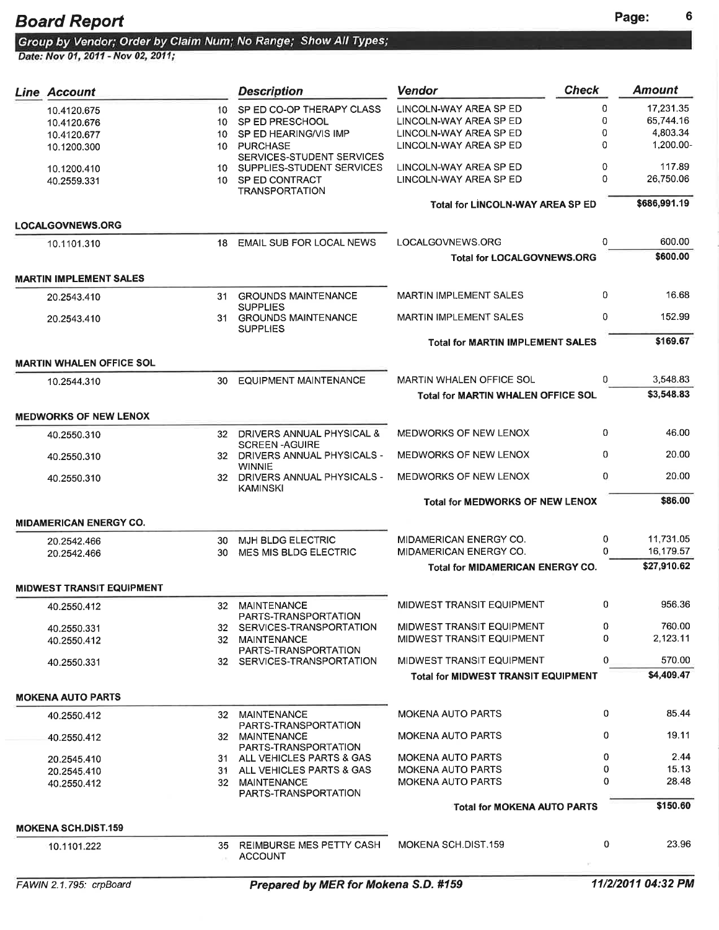Board Report<br>Group by Vendor; Order by Claim Num; No Range; Show All Types;<br>Date: Nov 01, 2011 - Nov 02, 2011;

| <b>Line Account</b>              |     | <b>Description</b>                                   | <b>Vendor</b>                              | <b>Check</b> | <b>Amount</b> |
|----------------------------------|-----|------------------------------------------------------|--------------------------------------------|--------------|---------------|
| 10.4120.675                      | 10  | SP ED CO-OP THERAPY CLASS                            | LINCOLN-WAY AREA SP ED                     | 0            | 17,231.35     |
| 10.4120.676                      | 10  | SP ED PRESCHOOL                                      | LINCOLN-WAY AREA SP ED                     | 0            | 65,744.16     |
| 10.4120.677                      | 10  | SP ED HEARING/VIS IMP                                | LINCOLN-WAY AREA SP ED                     | 0            | 4,803.34      |
| 10.1200.300                      | 10  | <b>PURCHASE</b>                                      | LINCOLN-WAY AREA SP ED                     | $\Omega$     | 1,200.00-     |
|                                  |     | SERVICES-STUDENT SERVICES                            |                                            |              |               |
| 10.1200.410                      |     | 10 SUPPLIES-STUDENT SERVICES                         | LINCOLN-WAY AREA SP ED                     | 0            | 117.89        |
| 40.2559.331                      | 10  | SP ED CONTRACT                                       | LINCOLN-WAY AREA SP ED                     | 0            | 26,750.06     |
|                                  |     | <b>TRANSPORTATION</b>                                |                                            |              |               |
|                                  |     |                                                      | <b>Total for LINCOLN-WAY AREA SP ED</b>    |              | \$686,991.19  |
| <b>LOCALGOVNEWS.ORG</b>          |     |                                                      |                                            |              |               |
| 10.1101.310                      | 18  | EMAIL SUB FOR LOCAL NEWS                             | LOCALGOVNEWS.ORG                           | 0            | 600.00        |
|                                  |     |                                                      | <b>Total for LOCALGOVNEWS.ORG</b>          |              | \$600.00      |
| <b>MARTIN IMPLEMENT SALES</b>    |     |                                                      |                                            |              |               |
| 20.2543.410                      | 31  | <b>GROUNDS MAINTENANCE</b><br><b>SUPPLIES</b>        | <b>MARTIN IMPLEMENT SALES</b>              | 0            | 16.68         |
| 20.2543.410                      | 31  | <b>GROUNDS MAINTENANCE</b><br><b>SUPPLIES</b>        | <b>MARTIN IMPLEMENT SALES</b>              | 0            | 152.99        |
|                                  |     |                                                      | <b>Total for MARTIN IMPLEMENT SALES</b>    |              | \$169.67      |
| <b>MARTIN WHALEN OFFICE SOL</b>  |     |                                                      |                                            |              |               |
| 10.2544.310                      | 30. | <b>EQUIPMENT MAINTENANCE</b>                         | <b>MARTIN WHALEN OFFICE SOL</b>            | 0            | 3,548.83      |
|                                  |     |                                                      | <b>Total for MARTIN WHALEN OFFICE SOL</b>  |              | \$3,548.83    |
| <b>MEDWORKS OF NEW LENOX</b>     |     |                                                      |                                            |              |               |
| 40.2550.310                      |     | 32 DRIVERS ANNUAL PHYSICAL &<br><b>SCREEN-AGUIRE</b> | MEDWORKS OF NEW LENOX                      | 0            | 46.00         |
| 40.2550.310                      |     | 32 DRIVERS ANNUAL PHYSICALS -<br><b>WINNIE</b>       | MEDWORKS OF NEW LENOX                      | 0            | 20.00         |
| 40.2550.310                      |     | 32 DRIVERS ANNUAL PHYSICALS -<br>KAMINSKI            | <b>MEDWORKS OF NEW LENOX</b>               | 0            | 20.00         |
|                                  |     |                                                      | <b>Total for MEDWORKS OF NEW LENOX</b>     |              | \$86.00       |
| <b>MIDAMERICAN ENERGY CO.</b>    |     |                                                      |                                            |              |               |
| 20.2542.466                      | 30. | MJH BLDG ELECTRIC                                    | MIDAMERICAN ENERGY CO.                     | 0            | 11,731.05     |
| 20.2542.466                      | 30  | MES MIS BLDG ELECTRIC                                | MIDAMERICAN ENERGY CO.                     | 0            | 16,179.57     |
|                                  |     |                                                      | <b>Total for MIDAMERICAN ENERGY CO.</b>    |              | \$27,910.62   |
| <b>MIDWEST TRANSIT EQUIPMENT</b> |     |                                                      |                                            |              |               |
| 40.2550.412                      |     | 32 MAINTENANCE<br>PARTS-TRANSPORTATION               | MIDWEST TRANSIT EQUIPMENT                  | 0            | 956.36        |
| 40.2550.331                      |     | 32 SERVICES-TRANSPORTATION                           | MIDWEST TRANSIT EQUIPMENT                  | 0            | 760.00        |
| 40.2550.412                      |     | 32 MAINTENANCE                                       | MIDWEST TRANSIT EQUIPMENT                  | 0            | 2,123.11      |
|                                  |     | PARTS-TRANSPORTATION                                 |                                            |              |               |
| 40.2550.331                      |     | 32 SERVICES-TRANSPORTATION                           | MIDWEST TRANSIT EQUIPMENT                  | 0            | 570.00        |
|                                  |     |                                                      | <b>Total for MIDWEST TRANSIT EQUIPMENT</b> |              | \$4,409.47    |
| <b>MOKENA AUTO PARTS</b>         |     |                                                      |                                            |              |               |
| 40.2550.412                      |     | 32 MAINTENANCE                                       | <b>MOKENA AUTO PARTS</b>                   | 0            | 85.44         |
|                                  |     | PARTS-TRANSPORTATION<br>32 MAINTENANCE               | <b>MOKENA AUTO PARTS</b>                   | 0            | 19.11         |
| 40.2550.412                      |     | PARTS-TRANSPORTATION                                 |                                            |              |               |
| 20.2545.410                      |     | 31 ALL VEHICLES PARTS & GAS                          | <b>MOKENA AUTO PARTS</b>                   | 0            | 2.44          |
| 20.2545.410                      |     | 31 ALL VEHICLES PARTS & GAS                          | <b>MOKENA AUTO PARTS</b>                   | 0            | 15.13         |
| 40.2550.412                      |     | 32 MAINTENANCE                                       | <b>MOKENA AUTO PARTS</b>                   | 0            | 28.48         |
|                                  |     | PARTS-TRANSPORTATION                                 |                                            |              | \$150.60      |
|                                  |     |                                                      | Total for MOKENA AUTO PARTS                |              |               |
| <b>MOKENA SCH.DIST.159</b>       |     |                                                      |                                            |              |               |
| 10.1101.222                      | 35. | REIMBURSE MES PETTY CASH<br><b>ACCOUNT</b>           | MOKENA SCH.DIST.159                        | 0            | 23.96         |
|                                  |     |                                                      |                                            |              |               |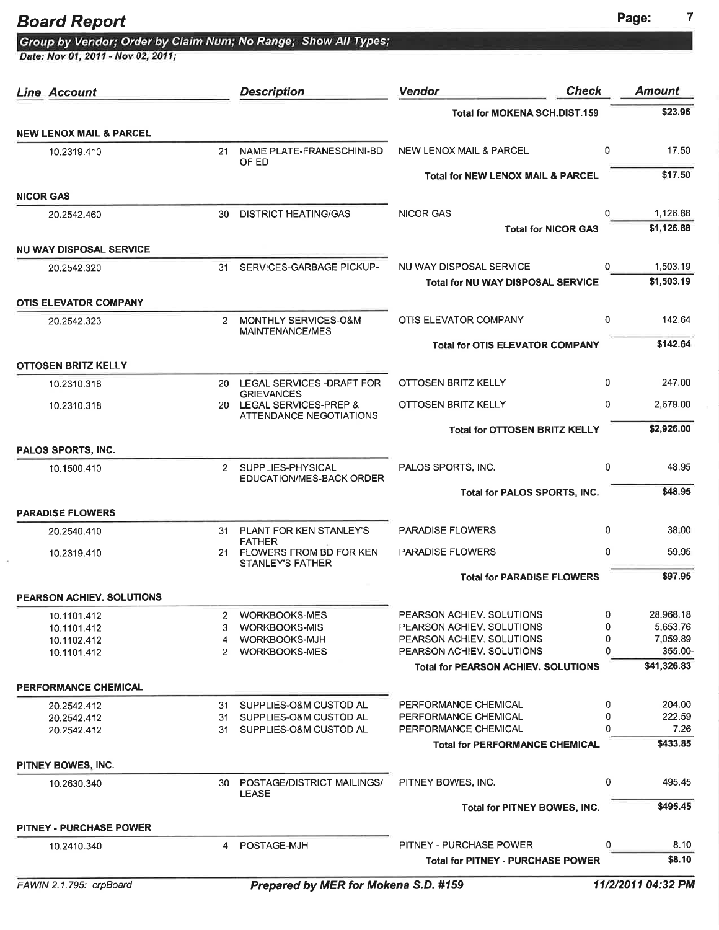# Board Report<br>Group by Vendor; Order by Claim Num; No Range; Show All Types;<br>Date: Nov 01, 2011 - Nov 02, 2011;

| Line Account                                  |              | <b>Description</b>                            | <b>Vendor</b>                                                           | <b>Check</b> | <b>Amount</b>          |
|-----------------------------------------------|--------------|-----------------------------------------------|-------------------------------------------------------------------------|--------------|------------------------|
|                                               |              |                                               | <b>Total for MOKENA SCH.DIST.159</b>                                    |              | \$23.96                |
| <b>NEW LENOX MAIL &amp; PARCEL</b>            |              |                                               |                                                                         |              |                        |
| 10.2319.410                                   | 21           | NAME PLATE-FRANESCHINI-BD<br>OF ED            | <b>NEW LENOX MAIL &amp; PARCEL</b>                                      | 0            | 17.50                  |
|                                               |              |                                               | <b>Total for NEW LENOX MAIL &amp; PARCEL</b>                            |              | \$17.50                |
| <b>NICOR GAS</b>                              |              |                                               |                                                                         |              |                        |
| 20.2542.460                                   | 30           | <b>DISTRICT HEATING/GAS</b>                   | <b>NICOR GAS</b>                                                        | $\Omega$     | 1,126.88               |
|                                               |              |                                               | <b>Total for NICOR GAS</b>                                              |              | \$1,126.88             |
| <b>NU WAY DISPOSAL SERVICE</b><br>20.2542.320 | 31           | SERVICES-GARBAGE PICKUP-                      | NU WAY DISPOSAL SERVICE                                                 | 0            | 1,503.19               |
|                                               |              |                                               | <b>Total for NU WAY DISPOSAL SERVICE</b>                                |              | \$1,503.19             |
| <b>OTIS ELEVATOR COMPANY</b>                  |              |                                               |                                                                         |              |                        |
| 20.2542.323                                   | 2            | MONTHLY SERVICES-O&M                          | OTIS ELEVATOR COMPANY                                                   | 0            | 142.64                 |
|                                               |              | MAINTENANCE/MES                               | <b>Total for OTIS ELEVATOR COMPANY</b>                                  |              | \$142.64               |
| OTTOSEN BRITZ KELLY                           |              |                                               |                                                                         |              |                        |
| 10.2310.318                                   |              | 20 LEGAL SERVICES - DRAFT FOR                 | OTTOSEN BRITZ KELLY                                                     | 0            | 247.00                 |
| 10.2310.318                                   |              | <b>GRIEVANCES</b><br>20 LEGAL SERVICES-PREP & | OTTOSEN BRITZ KELLY                                                     | 0            | 2,679.00               |
|                                               |              | ATTENDANCE NEGOTIATIONS                       | <b>Total for OTTOSEN BRITZ KELLY</b>                                    |              | \$2,926.00             |
| PALOS SPORTS, INC.                            |              |                                               |                                                                         |              |                        |
| 10.1500.410                                   | $2^{\circ}$  | SUPPLIES-PHYSICAL                             | PALOS SPORTS, INC.                                                      | 0            | 48.95                  |
|                                               |              | EDUCATION/MES-BACK ORDER                      | Total for PALOS SPORTS, INC.                                            |              | \$48.95                |
| <b>PARADISE FLOWERS</b>                       |              |                                               |                                                                         |              |                        |
| 20.2540.410                                   |              | 31 PLANT FOR KEN STANLEY'S                    | <b>PARADISE FLOWERS</b>                                                 | 0            | 38.00                  |
| 10.2319.410                                   |              | <b>FATHER</b><br>21 FLOWERS FROM BD FOR KEN   | <b>PARADISE FLOWERS</b>                                                 | 0            | 59.95                  |
|                                               |              | <b>STANLEY'S FATHER</b>                       | <b>Total for PARADISE FLOWERS</b>                                       |              | \$97.95                |
| PEARSON ACHIEV. SOLUTIONS                     |              |                                               |                                                                         |              |                        |
| 10.1101.412                                   | $\mathbf{2}$ | <b>WORKBOOKS-MES</b>                          | PEARSON ACHIEV. SOLUTIONS                                               | 0            | 28,968.18              |
| 10.1101.412                                   | 3            | <b>WORKBOOKS-MIS</b>                          | PEARSON ACHIEV, SOLUTIONS                                               | 0            | 5,653.76               |
| 10.1102.412                                   | 4            | WORKBOOKS-MJH                                 | PEARSON ACHIEV, SOLUTIONS                                               | 0            | 7.059.89               |
| 10.1101.412                                   | $\mathbf{2}$ | <b>WORKBOOKS-MES</b>                          | PEARSON ACHIEV, SOLUTIONS<br><b>Total for PEARSON ACHIEV, SOLUTIONS</b> | 0            | 355.00-<br>\$41,326.83 |
| PERFORMANCE CHEMICAL                          |              |                                               |                                                                         |              |                        |
| 20.2542.412                                   |              | 31 SUPPLIES-O&M CUSTODIAL                     | PERFORMANCE CHEMICAL                                                    | 0            | 204.00                 |
| 20.2542.412                                   |              | 31 SUPPLIES-O&M CUSTODIAL                     | PERFORMANCE CHEMICAL                                                    | 0            | 222.59                 |
| 20.2542.412                                   | 31           | SUPPLIES-O&M CUSTODIAL                        | PERFORMANCE CHEMICAL                                                    | U            | 7.26                   |
|                                               |              |                                               | <b>Total for PERFORMANCE CHEMICAL</b>                                   |              | \$433.85               |
| PITNEY BOWES, INC.                            |              |                                               |                                                                         |              |                        |
| 10.2630.340                                   |              | 30 POSTAGE/DISTRICT MAILINGS/<br><b>LEASE</b> | PITNEY BOWES, INC.                                                      | 0            | 495.45                 |
|                                               |              |                                               | Total for PITNEY BOWES, INC.                                            |              | \$495.45               |
| <b>PITNEY - PURCHASE POWER</b>                |              |                                               |                                                                         |              |                        |
| 10.2410.340                                   | 4            | POSTAGE-MJH                                   | <b>PITNEY - PURCHASE POWER</b>                                          | 0            | 8.10                   |
|                                               |              |                                               | <b>Total for PITNEY - PURCHASE POWER</b>                                |              | \$8.10                 |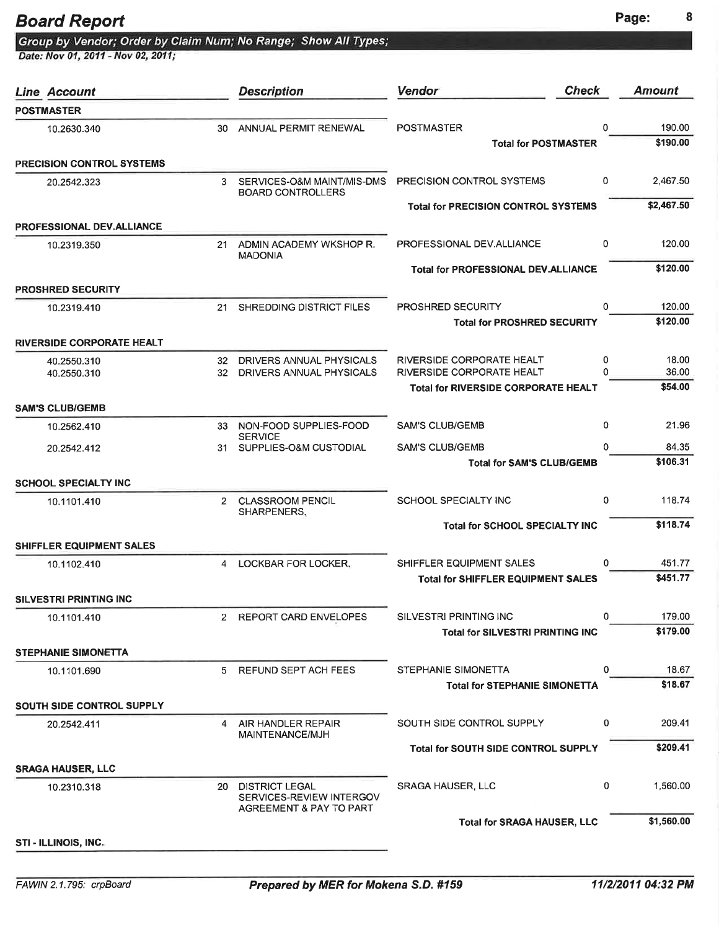|  |  | Group by Vendor; Order by Claim Num; No Range;  Show All Types; |  |  |
|--|--|-----------------------------------------------------------------|--|--|
|  |  |                                                                 |  |  |

Date: Nov 01, 2011 - Nov 02, 2011;

| <b>Line Account</b>              |     | <b>Description</b>                                                           | <b>Check</b><br><b>Vendor</b>                          |               | <b>Amount</b>      |
|----------------------------------|-----|------------------------------------------------------------------------------|--------------------------------------------------------|---------------|--------------------|
| <b>POSTMASTER</b>                |     |                                                                              |                                                        |               |                    |
| 10.2630.340                      | 30  | ANNUAL PERMIT RENEWAL                                                        | <b>POSTMASTER</b>                                      | 0             | 190.00             |
|                                  |     |                                                                              | <b>Total for POSTMASTER</b>                            |               | \$190.00           |
| <b>PRECISION CONTROL SYSTEMS</b> |     |                                                                              |                                                        |               |                    |
| 20.2542.323                      |     | 3 SERVICES-O&M MAINT/MIS-DMS<br><b>BOARD CONTROLLERS</b>                     | PRECISION CONTROL SYSTEMS                              | 0             | 2.467.50           |
|                                  |     |                                                                              | <b>Total for PRECISION CONTROL SYSTEMS</b>             |               | \$2,467.50         |
| <b>PROFESSIONAL DEV.ALLIANCE</b> |     |                                                                              |                                                        |               |                    |
| 10.2319.350                      |     | 21 ADMIN ACADEMY WKSHOP R.<br><b>MADONIA</b>                                 | PROFESSIONAL DEV.ALLIANCE                              | 0             | 120.00             |
|                                  |     |                                                                              | <b>Total for PROFESSIONAL DEV.ALLIANCE</b>             |               | \$120.00           |
| <b>PROSHRED SECURITY</b>         |     |                                                                              |                                                        |               |                    |
| 10.2319.410                      | 21  | SHREDDING DISTRICT FILES                                                     | PROSHRED SECURITY                                      | $\Omega$      | 120.00<br>\$120.00 |
|                                  |     |                                                                              | <b>Total for PROSHRED SECURITY</b>                     |               |                    |
| <b>RIVERSIDE CORPORATE HEALT</b> |     |                                                                              |                                                        |               |                    |
| 40.2550.310<br>40.2550.310       |     | 32 DRIVERS ANNUAL PHYSICALS<br>32 DRIVERS ANNUAL PHYSICALS                   | RIVERSIDE CORPORATE HEALT<br>RIVERSIDE CORPORATE HEALT | 0<br>$\Omega$ | 18.00<br>36.00     |
|                                  |     |                                                                              | <b>Total for RIVERSIDE CORPORATE HEALT</b>             |               | \$54.00            |
| <b>SAM'S CLUB/GEMB</b>           |     |                                                                              |                                                        |               |                    |
| 10.2562.410                      | 33  | NON-FOOD SUPPLIES-FOOD                                                       | <b>SAM'S CLUB/GEMB</b>                                 | 0             | 21.96              |
| 20.2542.412                      | 31. | <b>SERVICE</b><br>SUPPLIES-O&M CUSTODIAL                                     | <b>SAM'S CLUB/GEMB</b>                                 | 0             | 84.35              |
|                                  |     |                                                                              | <b>Total for SAM'S CLUB/GEMB</b>                       |               | \$106.31           |
| <b>SCHOOL SPECIALTY INC</b>      |     |                                                                              |                                                        |               |                    |
| 10.1101.410                      | 2   | <b>CLASSROOM PENCIL</b><br>SHARPENERS,                                       | SCHOOL SPECIALTY INC                                   | 0             | 118.74             |
|                                  |     |                                                                              | <b>Total for SCHOOL SPECIALTY INC</b>                  |               | \$118.74           |
| <b>SHIFFLER EQUIPMENT SALES</b>  |     |                                                                              |                                                        |               |                    |
| 10.1102.410                      |     | 4 LOCKBAR FOR LOCKER,                                                        | SHIFFLER EQUIPMENT SALES                               | 0             | 451.77             |
|                                  |     |                                                                              | <b>Total for SHIFFLER EQUIPMENT SALES</b>              |               | \$451.77           |
| <b>SILVESTRI PRINTING INC</b>    |     |                                                                              |                                                        |               |                    |
| 10.1101.410                      |     | 2 REPORT CARD ENVELOPES                                                      | SILVESTRI PRINTING INC                                 | 0             | 179.00             |
|                                  |     |                                                                              | <b>Total for SILVESTRI PRINTING INC</b>                |               | \$179.00           |
| <b>STEPHANIE SIMONETTA</b>       |     |                                                                              |                                                        |               |                    |
| 10.1101.690                      | 5   | REFUND SEPT ACH FEES                                                         | STEPHANIE SIMONETTA                                    | 0             | 18.67              |
|                                  |     |                                                                              | <b>Total for STEPHANIE SIMONETTA</b>                   |               | \$18.67            |
| <b>SOUTH SIDE CONTROL SUPPLY</b> |     |                                                                              |                                                        |               |                    |
| 20.2542.411                      |     | 4 AIR HANDLER REPAIR<br>MAINTENANCE/MJH                                      | SOUTH SIDE CONTROL SUPPLY                              | 0             | 209.41             |
|                                  |     |                                                                              | <b>Total for SOUTH SIDE CONTROL SUPPLY</b>             |               | \$209.41           |
| <b>SRAGA HAUSER, LLC</b>         |     |                                                                              |                                                        |               |                    |
| 10.2310.318                      | 20  | <b>DISTRICT LEGAL</b><br>SERVICES-REVIEW INTERGOV<br>AGREEMENT & PAY TO PART | <b>SRAGA HAUSER, LLC</b>                               | 0             | 1,560.00           |
|                                  |     |                                                                              | <b>Total for SRAGA HAUSER, LLC</b>                     |               | \$1,560.00         |
| STI - ILLINOIS, INC.             |     |                                                                              |                                                        |               |                    |
|                                  |     |                                                                              |                                                        |               |                    |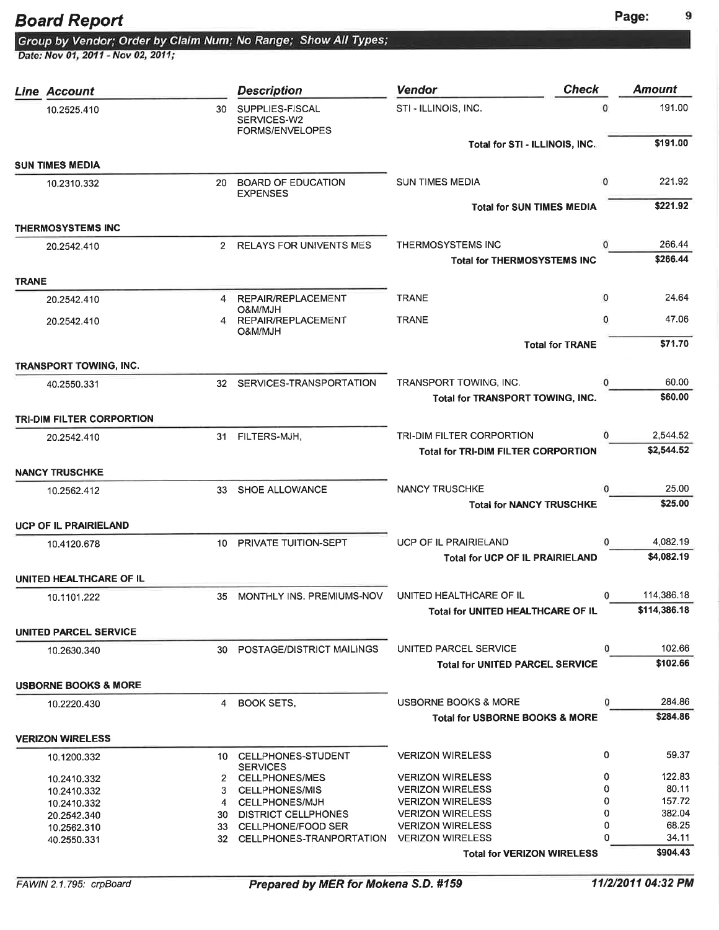Date: Nov 01, 2011 - Nov 02, 2011;

Group by Vendor; Order by Claim Num; No Range; Show All Types;

|              | Line Account                     |     | <b>Description</b>                                | <b>Check</b><br><b>Vendor</b>                      |             | <b>Amount</b>      |
|--------------|----------------------------------|-----|---------------------------------------------------|----------------------------------------------------|-------------|--------------------|
|              | 10.2525.410                      | 30  | SUPPLIES-FISCAL<br>SERVICES-W2<br>FORMS/ENVELOPES | STI - ILLINOIS, INC.                               | $\Omega$    | 191.00             |
|              |                                  |     |                                                   | Total for STI - ILLINOIS, INC.                     |             | \$191.00           |
|              | <b>SUN TIMES MEDIA</b>           |     |                                                   |                                                    |             |                    |
|              | 10.2310.332                      | 20  | <b>BOARD OF EDUCATION</b><br><b>EXPENSES</b>      | <b>SUN TIMES MEDIA</b>                             | $\mathbf 0$ | 221.92             |
|              |                                  |     |                                                   | <b>Total for SUN TIMES MEDIA</b>                   |             | \$221.92           |
|              | <b>THERMOSYSTEMS INC</b>         |     |                                                   |                                                    |             |                    |
|              | 20.2542.410                      |     | 2 RELAYS FOR UNIVENTS MES                         | THERMOSYSTEMS INC                                  | 0           | 266.44             |
|              |                                  |     |                                                   | <b>Total for THERMOSYSTEMS INC</b>                 |             | \$266.44           |
| <b>TRANE</b> |                                  |     |                                                   |                                                    |             |                    |
|              | 20.2542.410                      | 4   | REPAIR/REPLACEMENT                                | <b>TRANE</b>                                       | 0           | 24.64              |
|              | 20.2542.410                      | 4   | O&M/MJH<br>REPAIR/REPLACEMENT<br>O&M/MJH          | <b>TRANE</b>                                       | $\mathbf 0$ | 47.06              |
|              |                                  |     |                                                   | <b>Total for TRANE</b>                             |             | \$71.70            |
|              |                                  |     |                                                   |                                                    |             |                    |
|              | TRANSPORT TOWING, INC.           |     |                                                   |                                                    | 0           | 60.00              |
|              | 40.2550.331                      |     | 32 SERVICES-TRANSPORTATION                        | TRANSPORT TOWING, INC.                             |             | \$60.00            |
|              |                                  |     |                                                   | Total for TRANSPORT TOWING, INC.                   |             |                    |
|              | <b>TRI-DIM FILTER CORPORTION</b> |     |                                                   |                                                    |             |                    |
|              | 20.2542.410                      |     | 31 FILTERS-MJH,                                   | TRI-DIM FILTER CORPORTION                          | $\Omega$    | 2,544.52           |
|              |                                  |     |                                                   | <b>Total for TRI-DIM FILTER CORPORTION</b>         |             | \$2,544.52         |
|              | <b>NANCY TRUSCHKE</b>            |     |                                                   |                                                    |             |                    |
|              | 10.2562.412                      | 33  | SHOE ALLOWANCE                                    | <b>NANCY TRUSCHKE</b>                              | $\Omega$    | 25.00              |
|              |                                  |     |                                                   | <b>Total for NANCY TRUSCHKE</b>                    |             | \$25.00            |
|              | <b>UCP OF IL PRAIRIELAND</b>     |     |                                                   |                                                    |             |                    |
|              | 10.4120.678                      | 10  | PRIVATE TUITION-SEPT                              | <b>UCP OF IL PRAIRIELAND</b>                       | $\Omega$    | 4,082.19           |
|              |                                  |     |                                                   | <b>Total for UCP OF IL PRAIRIELAND</b>             |             | \$4,082.19         |
|              | UNITED HEALTHCARE OF IL          |     |                                                   |                                                    |             |                    |
|              | 10.1101.222                      | 35  | MONTHLY INS. PREMIUMS-NOV                         | UNITED HEALTHCARE OF IL                            | 0           | 114,386.18         |
|              |                                  |     |                                                   | Total for UNITED HEALTHCARE OF IL                  |             | \$114,386.18       |
|              |                                  |     |                                                   |                                                    |             |                    |
|              | <b>UNITED PARCEL SERVICE</b>     |     |                                                   |                                                    |             |                    |
|              | 10.2630.340                      | 30. | POSTAGE/DISTRICT MAILINGS                         | UNITED PARCEL SERVICE                              | 0           | 102.66<br>\$102.66 |
|              |                                  |     |                                                   | <b>Total for UNITED PARCEL SERVICE</b>             |             |                    |
|              | <b>USBORNE BOOKS &amp; MORE</b>  |     |                                                   |                                                    |             |                    |
|              | 10.2220.430                      | 4   | <b>BOOK SETS.</b>                                 | <b>USBORNE BOOKS &amp; MORE</b>                    | 0           | 284.86             |
|              |                                  |     |                                                   | <b>Total for USBORNE BOOKS &amp; MORE</b>          |             | \$284.86           |
|              | <b>VERIZON WIRELESS</b>          |     |                                                   |                                                    |             |                    |
|              | 10.1200.332                      |     | 10 CELLPHONES-STUDENT<br><b>SERVICES</b>          | <b>VERIZON WIRELESS</b>                            | 0           | 59.37              |
|              | 10.2410.332                      |     | 2 CELLPHONES/MES                                  | <b>VERIZON WIRELESS</b>                            | 0           | 122.83             |
|              | 10.2410.332                      | 3   | <b>CELLPHONES/MIS</b>                             | <b>VERIZON WIRELESS</b>                            | 0           | 80.11              |
|              | 10.2410.332                      |     | 4 CELLPHONES/MJH                                  | <b>VERIZON WIRELESS</b>                            | 0<br>0      | 157.72<br>382.04   |
|              | 20.2542.340                      | 33  | 30 DISTRICT CELLPHONES<br>CELLPHONE/FOOD SER      | <b>VERIZON WIRELESS</b><br><b>VERIZON WIRELESS</b> | 0           | 68.25              |
|              | 10.2562.310<br>40.2550.331       |     | 32 CELLPHONES-TRANPORTATION                       | <b>VERIZON WIRELESS</b>                            | 0           | 34.11              |
|              |                                  |     |                                                   | <b>Total for VERIZON WIRELESS</b>                  |             | \$904.43           |
|              |                                  |     |                                                   |                                                    |             |                    |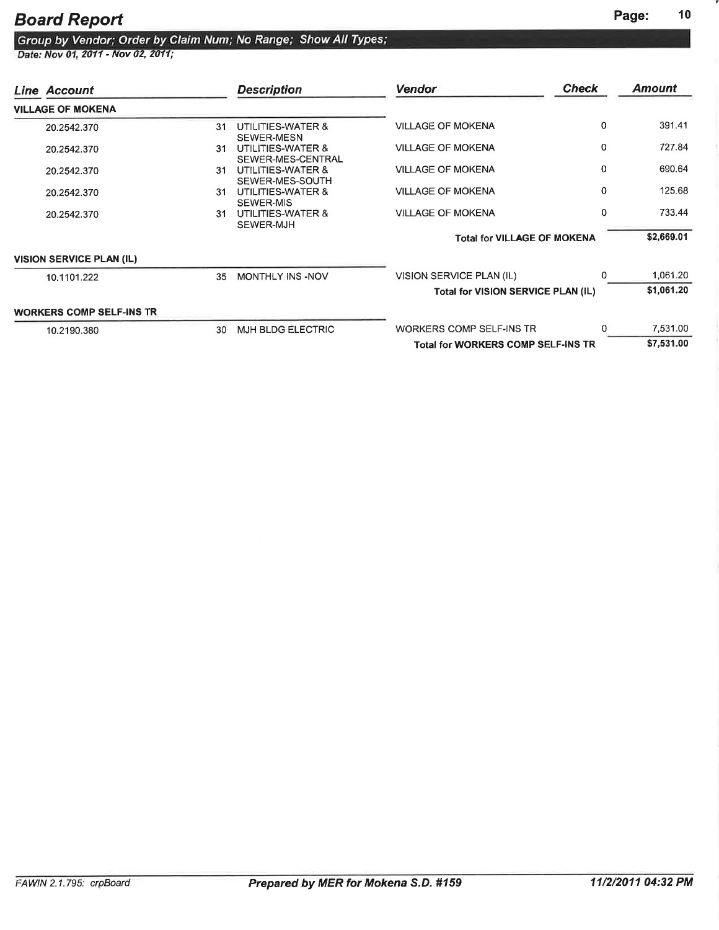## Group by Vendor; Order by Claim Num; No Range; Show All Types;<br>Date: Nov 01, 2011 - Nov 02, 2011;

| Line Account                    |     | <b>Description</b>                     | <b>Vendor</b>                             | <b>Check</b> | Amount     |
|---------------------------------|-----|----------------------------------------|-------------------------------------------|--------------|------------|
| <b>VILLAGE OF MOKENA</b>        |     |                                        |                                           |              |            |
| 20.2542.370                     | 31  | UTILITIES-WATER &<br>SEWER-MESN        | <b>VILLAGE OF MOKENA</b>                  | $\mathbf{0}$ | 391.41     |
| 20.2542.370                     | 31  | UTILITIES-WATER &<br>SEWER-MES-CENTRAL | <b>VILLAGE OF MOKENA</b>                  | 0            | 727.84     |
| 20.2542.370                     | 31. | UTILITIES-WATER &<br>SEWER-MES-SOUTH   | <b>VILLAGE OF MOKENA</b>                  | $\Omega$     | 690.64     |
| 20.2542.370                     | 31. | UTILITIES-WATER &<br>SEWER-MIS         | <b>VILLAGE OF MOKENA</b>                  | 0            | 125.68     |
| 20.2542.370                     | 31  | UTILITIES-WATER &<br>SEWER-MJH         | <b>VILLAGE OF MOKENA</b>                  | 0            | 733.44     |
|                                 |     |                                        | <b>Total for VILLAGE OF MOKENA</b>        |              | \$2,669.01 |
| <b>VISION SERVICE PLAN (IL)</b> |     |                                        |                                           |              |            |
| 10.1101.222                     | 35  | MONTHLY INS -NOV                       | VISION SERVICE PLAN (IL)                  | O            | 1,061.20   |
|                                 |     |                                        | Total for VISION SERVICE PLAN (IL)        |              | \$1,061.20 |
| <b>WORKERS COMP SELF-INS TR</b> |     |                                        |                                           |              |            |
| 10.2190.380                     | 30. | MJH BLDG ELECTRIC                      | WORKERS COMP SELF-INS TR                  | n            | 7,531.00   |
|                                 |     |                                        | <b>Total for WORKERS COMP SELF-INS TR</b> |              | \$7,531.00 |